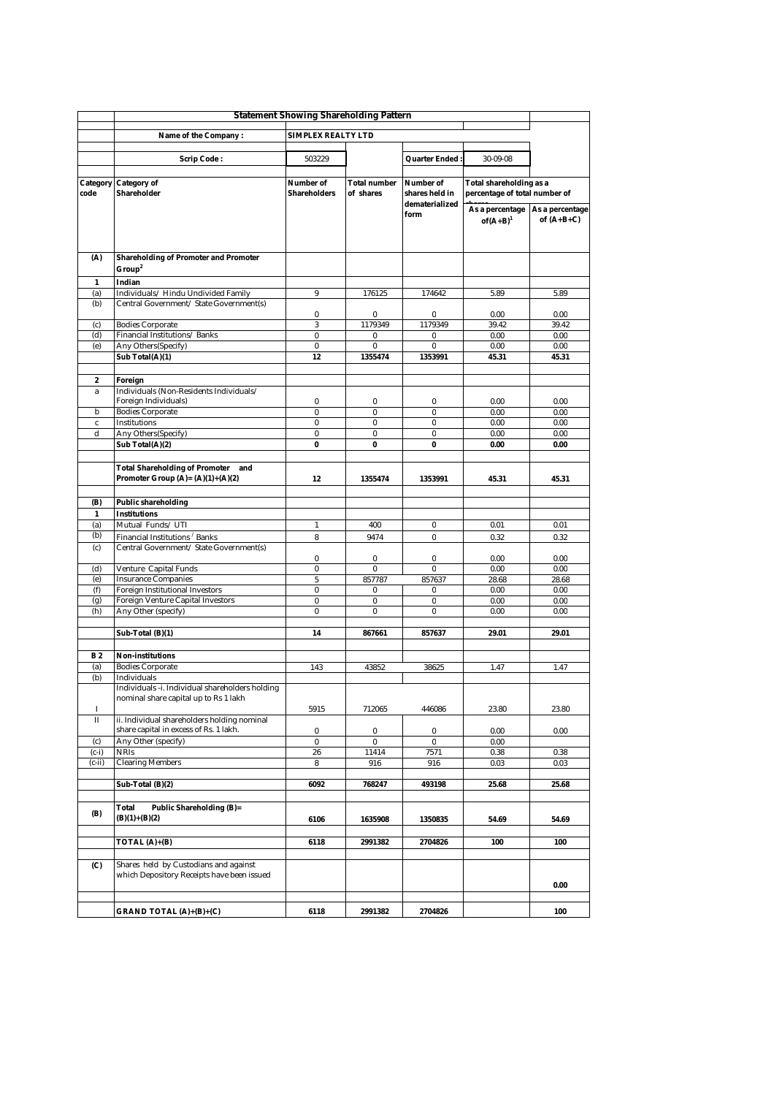|                  | <b>Statement Showing Shareholding Pattern</b>                                      |                      |               |                                  |                                 |               |
|------------------|------------------------------------------------------------------------------------|----------------------|---------------|----------------------------------|---------------------------------|---------------|
|                  | <b>SIMPLEX REALTY LTD</b><br>Name of the Company:                                  |                      |               |                                  |                                 |               |
|                  |                                                                                    |                      |               |                                  |                                 |               |
|                  | <b>Scrip Code:</b>                                                                 | 503229               |               | Quarter Ended                    | $30 - 09 - 08$                  |               |
|                  |                                                                                    |                      |               |                                  |                                 |               |
| Category         | <b>Category of</b>                                                                 | Number of            | Total number  | Number of                        | Total shareholding as a         |               |
| code             | Shareholder                                                                        | Shareholders         | of shares     | shares held in<br>dematerialized | percentage of total number of   |               |
|                  |                                                                                    |                      |               | form                             | As a percentage As a percentage |               |
|                  |                                                                                    |                      |               |                                  | $of(A+B)^1$                     | of $(A+B+C)$  |
|                  |                                                                                    |                      |               |                                  |                                 |               |
| (A)              | <b>Shareholding of Promoter and Promoter</b>                                       |                      |               |                                  |                                 |               |
|                  | Group <sup>2</sup>                                                                 |                      |               |                                  |                                 |               |
| $\mathbf{1}$     | Indian                                                                             |                      |               |                                  |                                 |               |
| (a)              | Individuals/Hindu Undivided Family                                                 | 9                    | 176125        | 174642                           | 5.89                            | 5.89          |
| (b)              | Central Government / State Government(s)                                           |                      |               |                                  |                                 |               |
| (c)              | <b>Bodies Corporate</b>                                                            | $\bf{0}$<br>$\bf{3}$ | 0<br>1179349  | 0<br>1179349                     | 0.00<br>39.42                   | 0.00<br>39.42 |
| (d)              | Financial Institutions/Banks                                                       | $\bf{0}$             | 0             | 0                                | 0.00                            | 0.00          |
| (e)              | Any Others(Specify)                                                                | 0                    | 0             | 0                                | 0.00                            | 0.00          |
|                  | Sub Total(A)(1)                                                                    | 12                   | 1355474       | 1353991                          | 45.31                           | 45.31         |
|                  |                                                                                    |                      |               |                                  |                                 |               |
| $\boldsymbol{2}$ | Foreign<br>Individuals (Non-Residents Individuals/                                 |                      |               |                                  |                                 |               |
| a                | Foreign Individuals)                                                               | 0                    | 0             | 0                                | 0.00                            | 0.00          |
| b                | <b>Bodies Corporate</b>                                                            | $\bf{0}$             | $\bf{0}$      | $\bf{0}$                         | 0.00                            | 0.00          |
| $\mathbf c$      | <b>Institutions</b>                                                                | $\bf{0}$             | $\bf{0}$      | $\pmb{0}$                        | 0.00                            | 0.00          |
| d                | Any Others(Specify)                                                                | $\bf{0}$             | $\bf{0}$      | $\pmb{0}$                        | 0.00                            | 0.00          |
|                  | Sub Total(A)(2)                                                                    | $\bf{0}$             | $\bf{0}$      | $\pmb{0}$                        | 0.00                            | 0.00          |
|                  | <b>Total Shareholding of Promoter</b> and                                          |                      |               |                                  |                                 |               |
|                  | Promoter Group $(A)=(A)(1)+(A)(2)$                                                 | 12                   | 1355474       | 1353991                          | 45.31                           | 45.31         |
|                  |                                                                                    |                      |               |                                  |                                 |               |
| (B)              | <b>Public shareholding</b>                                                         |                      |               |                                  |                                 |               |
| 1                | <b>Institutions</b>                                                                |                      |               |                                  |                                 |               |
| (a)<br>(b)       | Mutual Funds/UTI                                                                   | $\mathbf{1}$         | 400           | 0                                | 0.01                            | 0.01          |
| (c)              | Financial Institutions / Banks<br>Central Government / State Government(s)         | 8                    | 9474          | 0                                | 0.32                            | 0.32          |
|                  |                                                                                    | 0                    | 0             | 0                                | 0.00                            | 0.00          |
| (d)              | Venture Capital Funds                                                              | 0                    | 0             | $\bf{0}$                         | 0.00                            | 0.00          |
| (e)              | <b>Insurance Companies</b>                                                         | $5\phantom{.0}$      | 857787        | 857637                           | 28.68                           | 28.68         |
| (f)<br>(g)       | <b>Foreign Institutional Investors</b><br><b>Foreign Venture Capital Investors</b> | $\bf{0}$<br>$\bf{0}$ | 0<br>$\bf{0}$ | 0<br>0                           | 0.00<br>0.00                    | 0.00<br>0.00  |
| (h)              | Any Other (specify)                                                                | $\bf{0}$             | $\bf{0}$      | $\pmb{0}$                        | 0.00                            | 0.00          |
|                  |                                                                                    |                      |               |                                  |                                 |               |
|                  | Sub-Total (B)(1)                                                                   | 14                   | 867661        | 857637                           | 29.01                           | 29.01         |
|                  |                                                                                    |                      |               |                                  |                                 |               |
| <b>B2</b>        | Non-institutions<br><b>Bodies Corporate</b>                                        | 143                  | 43852         | 38625                            | 1.47                            | 1.47          |
| (a)<br>(b)       | Individuals                                                                        |                      |               |                                  |                                 |               |
|                  | Individuals -i. Individual shareholders holding                                    |                      |               |                                  |                                 |               |
|                  | nominal share capital up to Rs 1 lakh                                              |                      |               |                                  |                                 |               |
| 1<br>П           | ii. Individual shareholders holding nominal                                        | 5915                 | 712065        | 446086                           | 23.80                           | 23.80         |
|                  | share capital in excess of Rs. 1 lakh.                                             | $\bf{0}$             | $\pmb{0}$     | $\pmb{0}$                        | 0.00                            | 0.00          |
| (c)              | Any Other (specify)                                                                | $\bf{0}$             | $\pmb{0}$     | $\bf{0}$                         | 0.00                            |               |
| $(c-i)$          | <b>NRIs</b>                                                                        | 26                   | 11414         | 7571                             | 0.38                            | 0.38          |
| (c-ii)           | <b>Clearing Members</b>                                                            | 8                    | 916           | 916                              | 0.03                            | 0.03          |
|                  | Sub-Total (B)(2)                                                                   | 6092                 | 768247        | 493198                           | 25.68                           | 25.68         |
|                  |                                                                                    |                      |               |                                  |                                 |               |
|                  | Total<br><b>Public Shareholding (B)=</b>                                           |                      |               |                                  |                                 |               |
| (B)              | $(B)(1)+(B)(2)$                                                                    | 6106                 | 1635908       | 1350835                          | 54.69                           | 54.69         |
|                  |                                                                                    |                      |               |                                  |                                 |               |
|                  | TOTAL (A)+(B)                                                                      | 6118                 | 2991382       | 2704826                          | 100                             | 100           |
| (C)              | Shares held by Custodians and against                                              |                      |               |                                  |                                 |               |
|                  | which Depository Receipts have been issued                                         |                      |               |                                  |                                 |               |
|                  |                                                                                    |                      |               |                                  |                                 | 0.00          |
|                  |                                                                                    |                      |               |                                  |                                 |               |
|                  | GRAND TOTAL $(A)+(B)+(C)$                                                          | 6118                 | 2991382       | 2704826                          |                                 | 100           |